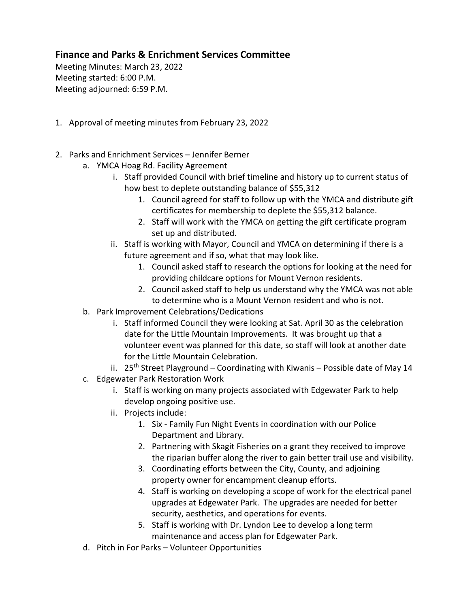## **Finance and Parks & Enrichment Services Committee**

Meeting Minutes: March 23, 2022 Meeting started: 6:00 P.M. Meeting adjourned: 6:59 P.M.

- 1. Approval of meeting minutes from February 23, 2022
- 2. Parks and Enrichment Services Jennifer Berner
	- a. YMCA Hoag Rd. Facility Agreement
		- i. Staff provided Council with brief timeline and history up to current status of how best to deplete outstanding balance of \$55,312
			- 1. Council agreed for staff to follow up with the YMCA and distribute gift certificates for membership to deplete the \$55,312 balance.
			- 2. Staff will work with the YMCA on getting the gift certificate program set up and distributed.
		- ii. Staff is working with Mayor, Council and YMCA on determining if there is a future agreement and if so, what that may look like.
			- 1. Council asked staff to research the options for looking at the need for providing childcare options for Mount Vernon residents.
			- 2. Council asked staff to help us understand why the YMCA was not able to determine who is a Mount Vernon resident and who is not.
	- b. Park Improvement Celebrations/Dedications
		- i. Staff informed Council they were looking at Sat. April 30 as the celebration date for the Little Mountain Improvements. It was brought up that a volunteer event was planned for this date, so staff will look at another date for the Little Mountain Celebration.
		- ii. 25<sup>th</sup> Street Playground Coordinating with Kiwanis Possible date of May 14
	- c. Edgewater Park Restoration Work
		- i. Staff is working on many projects associated with Edgewater Park to help develop ongoing positive use.
		- ii. Projects include:
			- 1. Six Family Fun Night Events in coordination with our Police Department and Library.
			- 2. Partnering with Skagit Fisheries on a grant they received to improve the riparian buffer along the river to gain better trail use and visibility.
			- 3. Coordinating efforts between the City, County, and adjoining property owner for encampment cleanup efforts.
			- 4. Staff is working on developing a scope of work for the electrical panel upgrades at Edgewater Park. The upgrades are needed for better security, aesthetics, and operations for events.
			- 5. Staff is working with Dr. Lyndon Lee to develop a long term maintenance and access plan for Edgewater Park.
	- d. Pitch in For Parks Volunteer Opportunities